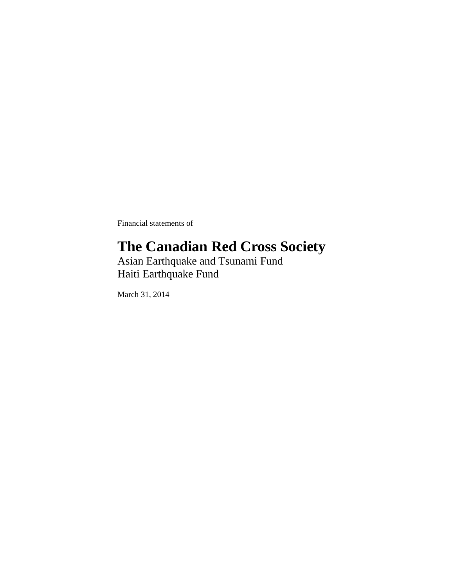Financial statements of

### **The Canadian Red Cross Society**

Asian Earthquake and Tsunami Fund Haiti Earthquake Fund

March 31, 2014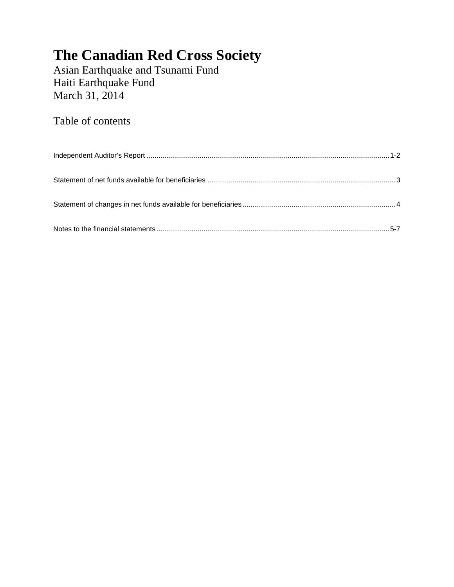Asian Earthquake and Tsunami Fund Haiti Earthquake Fund March 31, 2014

Table of contents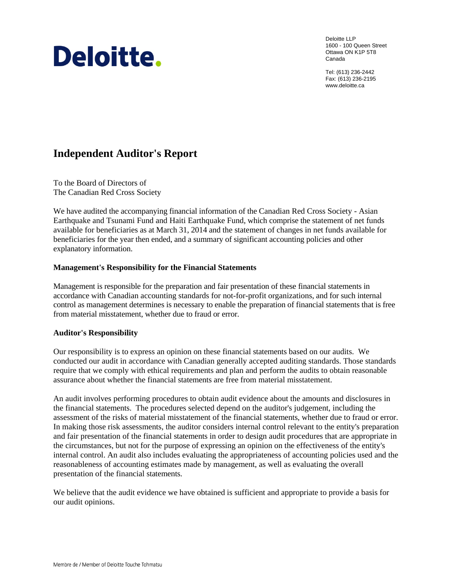# Deloitte.

Deloitte LLP 1600 - 100 Queen Street Ottawa ON K1P 5T8 Canada

Tel: (613) 236-2442 Fax: (613) 236-2195 www.deloitte.ca

### **Independent Auditor's Report**

To the Board of Directors of The Canadian Red Cross Society

We have audited the accompanying financial information of the Canadian Red Cross Society - Asian Earthquake and Tsunami Fund and Haiti Earthquake Fund, which comprise the statement of net funds available for beneficiaries as at March 31, 2014 and the statement of changes in net funds available for beneficiaries for the year then ended, and a summary of significant accounting policies and other explanatory information.

#### **Management's Responsibility for the Financial Statements**

Management is responsible for the preparation and fair presentation of these financial statements in accordance with Canadian accounting standards for not-for-profit organizations, and for such internal control as management determines is necessary to enable the preparation of financial statements that is free from material misstatement, whether due to fraud or error.

#### **Auditor's Responsibility**

Our responsibility is to express an opinion on these financial statements based on our audits. We conducted our audit in accordance with Canadian generally accepted auditing standards. Those standards require that we comply with ethical requirements and plan and perform the audits to obtain reasonable assurance about whether the financial statements are free from material misstatement.

An audit involves performing procedures to obtain audit evidence about the amounts and disclosures in the financial statements. The procedures selected depend on the auditor's judgement, including the assessment of the risks of material misstatement of the financial statements, whether due to fraud or error. In making those risk assessments, the auditor considers internal control relevant to the entity's preparation and fair presentation of the financial statements in order to design audit procedures that are appropriate in the circumstances, but not for the purpose of expressing an opinion on the effectiveness of the entity's internal control. An audit also includes evaluating the appropriateness of accounting policies used and the reasonableness of accounting estimates made by management, as well as evaluating the overall presentation of the financial statements.

We believe that the audit evidence we have obtained is sufficient and appropriate to provide a basis for our audit opinions.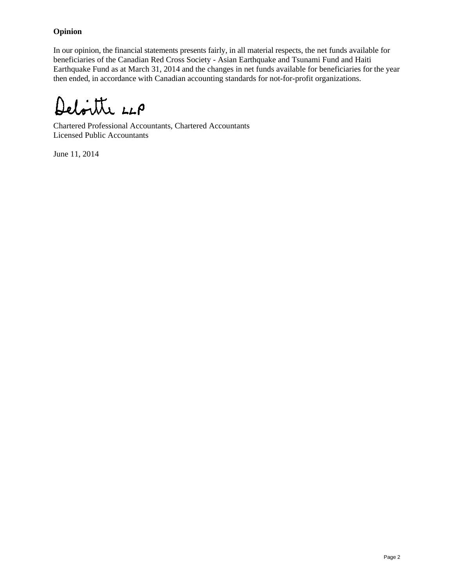#### **Opinion**

In our opinion, the financial statements presents fairly, in all material respects, the net funds available for beneficiaries of the Canadian Red Cross Society - Asian Earthquake and Tsunami Fund and Haiti Earthquake Fund as at March 31, 2014 and the changes in net funds available for beneficiaries for the year then ended, in accordance with Canadian accounting standards for not-for-profit organizations.

Deloitte LLP

Chartered Professional Accountants, Chartered Accountants Licensed Public Accountants

June 11, 2014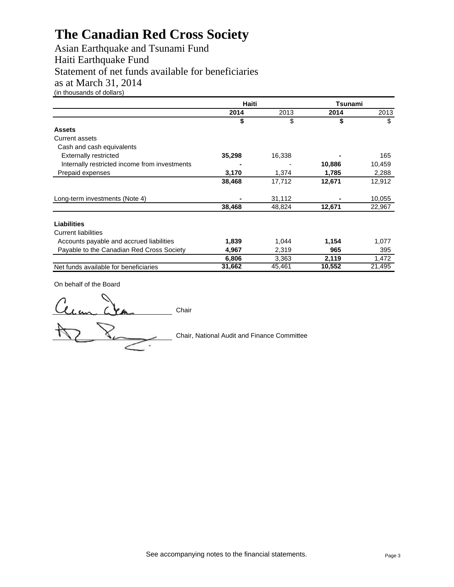Asian Earthquake and Tsunami Fund Haiti Earthquake Fund Statement of net funds available for beneficiaries as at March 31, 2014 (in thousands of dollars)

|                                               | Haiti  | Tsunami |        |        |  |
|-----------------------------------------------|--------|---------|--------|--------|--|
|                                               | 2014   | 2013    | 2014   | 2013   |  |
|                                               | \$     | \$      | \$     | \$     |  |
| <b>Assets</b>                                 |        |         |        |        |  |
| Current assets                                |        |         |        |        |  |
| Cash and cash equivalents                     |        |         |        |        |  |
| <b>Externally restricted</b>                  | 35,298 | 16,338  |        | 165    |  |
| Internally restricted income from investments |        |         | 10,886 | 10,459 |  |
| Prepaid expenses                              | 3,170  | 1,374   | 1,785  | 2,288  |  |
|                                               | 38,468 | 17,712  | 12,671 | 12,912 |  |
| Long-term investments (Note 4)                |        | 31,112  |        | 10,055 |  |
|                                               | 38,468 | 48,824  | 12,671 | 22,967 |  |
| <b>Liabilities</b>                            |        |         |        |        |  |
| <b>Current liabilities</b>                    |        |         |        |        |  |
| Accounts payable and accrued liabilities      | 1,839  | 1,044   | 1,154  | 1,077  |  |
| Payable to the Canadian Red Cross Society     | 4,967  | 2,319   | 965    | 395    |  |
|                                               | 6,806  | 3,363   | 2,119  | 1,472  |  |
| Net funds available for beneficiaries         | 31,662 | 45,461  | 10,552 | 21,495 |  |

On behalf of the Board

lean Chair

Chair, National Audit and Finance Committee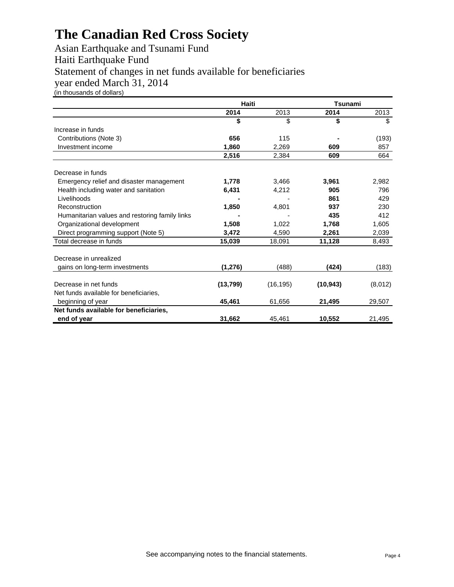Asian Earthquake and Tsunami Fund Haiti Earthquake Fund Statement of changes in net funds available for beneficiaries year ended March 31, 2014 (in thousands of dollars)

|                                                | Haiti     | Tsunami   |           |         |  |
|------------------------------------------------|-----------|-----------|-----------|---------|--|
|                                                | 2014      | 2013      | 2014      | 2013    |  |
|                                                | \$        | \$        | \$        | \$      |  |
| Increase in funds                              |           |           |           |         |  |
| Contributions (Note 3)                         | 656       | 115       |           | (193)   |  |
| Investment income                              | 1,860     | 2,269     | 609       | 857     |  |
|                                                | 2,516     | 2,384     | 609       | 664     |  |
| Decrease in funds                              |           |           |           |         |  |
| Emergency relief and disaster management       | 1,778     | 3,466     | 3,961     | 2,982   |  |
| Health including water and sanitation          | 6,431     | 4,212     | 905       | 796     |  |
| Livelihoods                                    |           |           | 861       | 429     |  |
| Reconstruction                                 | 1,850     | 4,801     | 937       | 230     |  |
| Humanitarian values and restoring family links |           |           | 435       | 412     |  |
| Organizational development                     | 1,508     | 1,022     | 1,768     | 1,605   |  |
| Direct programming support (Note 5)            | 3,472     | 4,590     | 2,261     | 2,039   |  |
| Total decrease in funds                        | 15,039    | 18,091    | 11,128    | 8,493   |  |
| Decrease in unrealized                         |           |           |           |         |  |
| gains on long-term investments                 | (1, 276)  | (488)     | (424)     | (183)   |  |
| Decrease in net funds                          | (13, 799) | (16, 195) | (10, 943) | (8,012) |  |
| Net funds available for beneficiaries,         |           |           |           |         |  |
| beginning of year                              | 45,461    | 61,656    | 21,495    | 29,507  |  |
| Net funds available for beneficiaries,         |           |           |           |         |  |
| end of year                                    | 31.662    | 45.461    | 10,552    | 21,495  |  |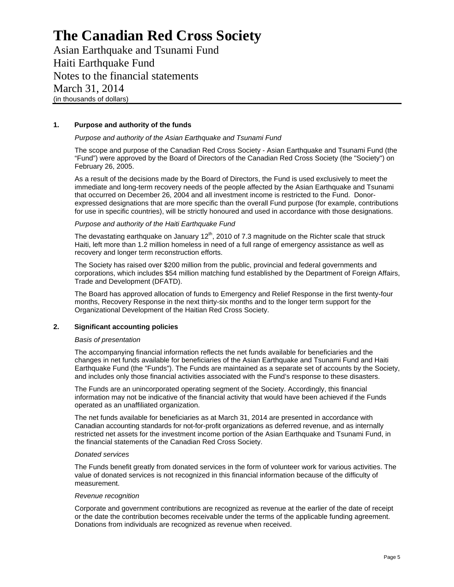Asian Earthquake and Tsunami Fund Haiti Earthquake Fund Notes to the financial statements March 31, 2014 (in thousands of dollars)

#### **1. Purpose and authority of the funds**

#### *Purpose and authority of the Asian Earthquake and Tsunami Fund*

The scope and purpose of the Canadian Red Cross Society - Asian Earthquake and Tsunami Fund (the "Fund") were approved by the Board of Directors of the Canadian Red Cross Society (the "Society") on February 26, 2005.

As a result of the decisions made by the Board of Directors, the Fund is used exclusively to meet the immediate and long-term recovery needs of the people affected by the Asian Earthquake and Tsunami that occurred on December 26, 2004 and all investment income is restricted to the Fund. Donorexpressed designations that are more specific than the overall Fund purpose (for example, contributions for use in specific countries), will be strictly honoured and used in accordance with those designations.

#### *Purpose and authority of the Haiti Earthquake Fund*

The devastating earthquake on January 12<sup>th</sup>, 2010 of 7.3 magnitude on the Richter scale that struck Haiti, left more than 1.2 million homeless in need of a full range of emergency assistance as well as recovery and longer term reconstruction efforts.

The Society has raised over \$200 million from the public, provincial and federal governments and corporations, which includes \$54 million matching fund established by the Department of Foreign Affairs, Trade and Development (DFATD).

The Board has approved allocation of funds to Emergency and Relief Response in the first twenty-four months, Recovery Response in the next thirty-six months and to the longer term support for the Organizational Development of the Haitian Red Cross Society.

#### **2. Significant accounting policies**

#### *Basis of presentation*

The accompanying financial information reflects the net funds available for beneficiaries and the changes in net funds available for beneficiaries of the Asian Earthquake and Tsunami Fund and Haiti Earthquake Fund (the "Funds"). The Funds are maintained as a separate set of accounts by the Society, and includes only those financial activities associated with the Fund's response to these disasters.

The Funds are an unincorporated operating segment of the Society. Accordingly, this financial information may not be indicative of the financial activity that would have been achieved if the Funds operated as an unaffiliated organization.

The net funds available for beneficiaries as at March 31, 2014 are presented in accordance with Canadian accounting standards for not-for-profit organizations as deferred revenue, and as internally restricted net assets for the investment income portion of the Asian Earthquake and Tsunami Fund, in the financial statements of the Canadian Red Cross Society.

#### *Donated services*

The Funds benefit greatly from donated services in the form of volunteer work for various activities. The value of donated services is not recognized in this financial information because of the difficulty of measurement.

#### *Revenue recognition*

Corporate and government contributions are recognized as revenue at the earlier of the date of receipt or the date the contribution becomes receivable under the terms of the applicable funding agreement. Donations from individuals are recognized as revenue when received.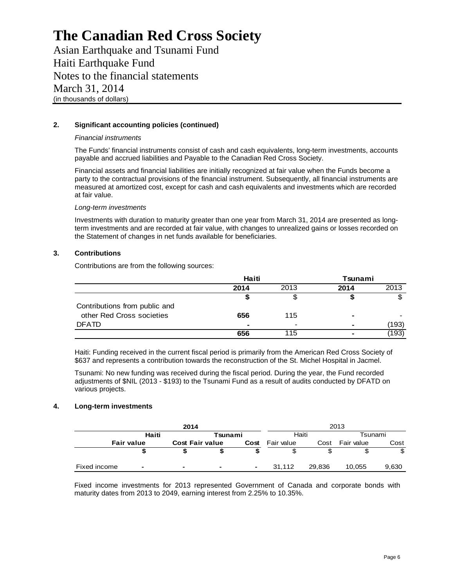Asian Earthquake and Tsunami Fund Haiti Earthquake Fund Notes to the financial statements March 31, 2014 (in thousands of dollars)

#### **2. Significant accounting policies (continued)**

#### *Financial instruments*

The Funds' financial instruments consist of cash and cash equivalents, long-term investments, accounts payable and accrued liabilities and Payable to the Canadian Red Cross Society.

Financial assets and financial liabilities are initially recognized at fair value when the Funds become a party to the contractual provisions of the financial instrument. Subsequently, all financial instruments are measured at amortized cost, except for cash and cash equivalents and investments which are recorded at fair value.

#### *Long-term investments*

Investments with duration to maturity greater than one year from March 31, 2014 are presented as longterm investments and are recorded at fair value, with changes to unrealized gains or losses recorded on the Statement of changes in net funds available for beneficiaries.

#### **3. Contributions**

Contributions are from the following sources:

|                               | Haiti                    |      | Tsunami |       |
|-------------------------------|--------------------------|------|---------|-------|
|                               | 2014                     | 2013 | 2014    | 2013  |
|                               |                          |      |         |       |
| Contributions from public and |                          |      |         |       |
| other Red Cross societies     | 656                      | 115  |         |       |
| <b>DFATD</b>                  | $\overline{\phantom{0}}$ | -    |         | (193) |
|                               | 656                      | 115  | -       | (193) |

Haiti: Funding received in the current fiscal period is primarily from the American Red Cross Society of \$637 and represents a contribution towards the reconstruction of the St. Michel Hospital in Jacmel.

Tsunami: No new funding was received during the fiscal period. During the year, the Fund recorded adjustments of \$NIL (2013 - \$193) to the Tsunami Fund as a result of audits conducted by DFATD on various projects.

#### **4. Long-term investments**

|              | 2014              |   |                        |                          |            |        | 2013       |       |
|--------------|-------------------|---|------------------------|--------------------------|------------|--------|------------|-------|
|              | Haiti             |   |                        | Tsunami                  |            | Haiti  | Tsunami    |       |
|              | <b>Fair value</b> |   | <b>Cost Fair value</b> | Cost                     | Fair value | Cost   | Fair value | Cost  |
|              |                   |   |                        |                          |            |        |            | \$    |
| Fixed income | $\blacksquare$    | - | ۰                      | $\overline{\phantom{0}}$ | 31.112     | 29.836 | 10,055     | 9,630 |

Fixed income investments for 2013 represented Government of Canada and corporate bonds with maturity dates from 2013 to 2049, earning interest from 2.25% to 10.35%.